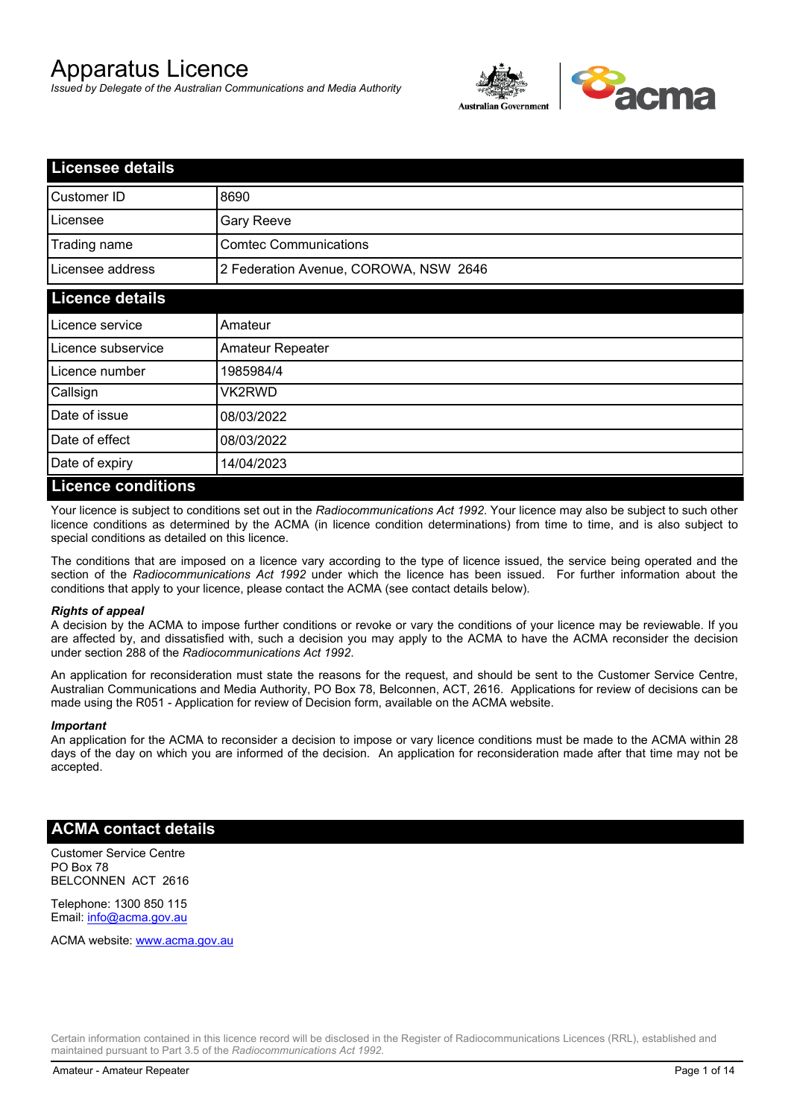# Apparatus Licence

*Issued by Delegate of the Australian Communications and Media Authority*



| <b>Licensee details</b> |                                       |  |
|-------------------------|---------------------------------------|--|
| Customer ID             | 8690                                  |  |
| Licensee                | <b>Gary Reeve</b>                     |  |
| Trading name            | <b>Comtec Communications</b>          |  |
| Licensee address        | 2 Federation Avenue, COROWA, NSW 2646 |  |
| <b>Licence details</b>  |                                       |  |
| Licence service         | Amateur                               |  |
| Licence subservice      | Amateur Repeater                      |  |
| Licence number          | 1985984/4                             |  |
| Callsign                | VK2RWD                                |  |
| Date of issue           | 08/03/2022                            |  |
| Date of effect          | 08/03/2022                            |  |
| Date of expiry          | 14/04/2023                            |  |
| Licance conditions      |                                       |  |

## **Licence conditions**

Your licence is subject to conditions set out in the *Radiocommunications Act 1992*. Your licence may also be subject to such other licence conditions as determined by the ACMA (in licence condition determinations) from time to time, and is also subject to special conditions as detailed on this licence.

The conditions that are imposed on a licence vary according to the type of licence issued, the service being operated and the section of the *Radiocommunications Act 1992* under which the licence has been issued. For further information about the conditions that apply to your licence, please contact the ACMA (see contact details below).

#### *Rights of appeal*

A decision by the ACMA to impose further conditions or revoke or vary the conditions of your licence may be reviewable. If you are affected by, and dissatisfied with, such a decision you may apply to the ACMA to have the ACMA reconsider the decision under section 288 of the *Radiocommunications Act 1992*.

An application for reconsideration must state the reasons for the request, and should be sent to the Customer Service Centre, Australian Communications and Media Authority, PO Box 78, Belconnen, ACT, 2616. Applications for review of decisions can be made using the R051 - Application for review of Decision form, available on the ACMA website.

#### *Important*

An application for the ACMA to reconsider a decision to impose or vary licence conditions must be made to the ACMA within 28 days of the day on which you are informed of the decision. An application for reconsideration made after that time may not be accepted.

#### **ACMA contact details**

Customer Service Centre PO Box 78 BELCONNEN ACT 2616

Telephone: 1300 850 115 Email: info@acma.gov.au

ACMA website: www.acma.gov.au

Certain information contained in this licence record will be disclosed in the Register of Radiocommunications Licences (RRL), established and maintained pursuant to Part 3.5 of the *Radiocommunications Act 1992.*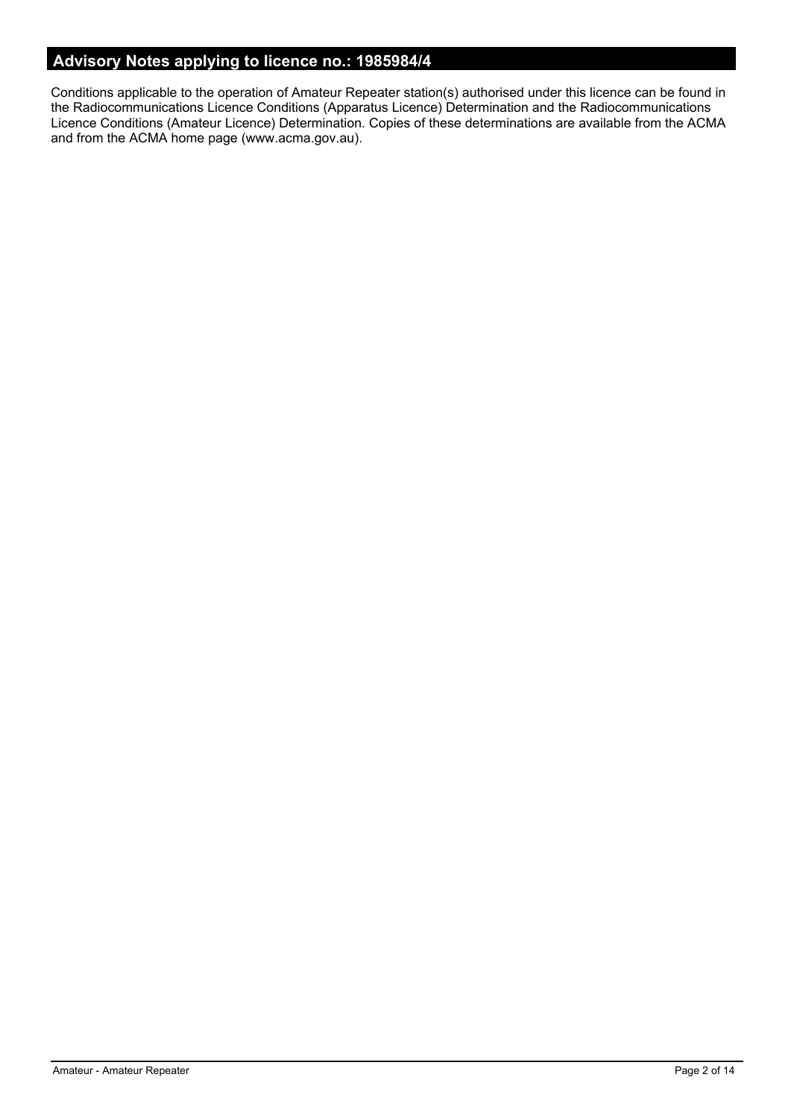# **Advisory Notes applying to licence no.: 1985984/4**

Conditions applicable to the operation of Amateur Repeater station(s) authorised under this licence can be found in the Radiocommunications Licence Conditions (Apparatus Licence) Determination and the Radiocommunications Licence Conditions (Amateur Licence) Determination. Copies of these determinations are available from the ACMA and from the ACMA home page (www.acma.gov.au).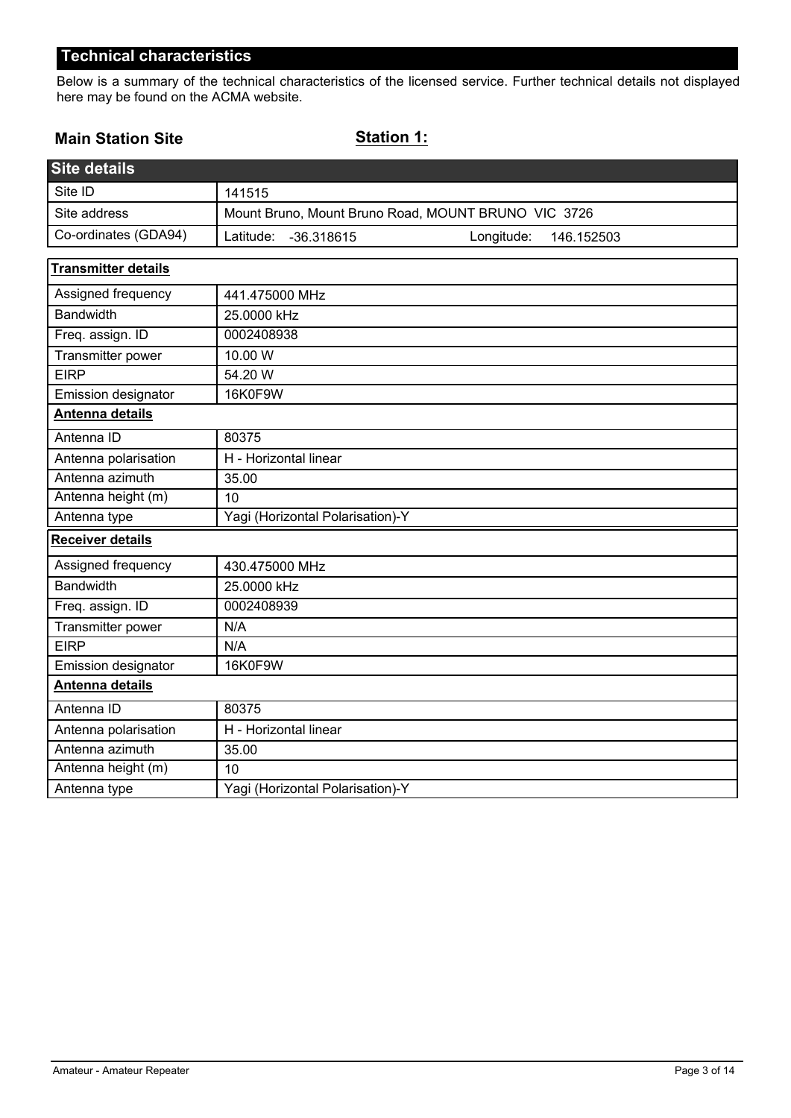Below is a summary of the technical characteristics of the licensed service. Further technical details not displayed here may be found on the ACMA website.

## **Main Station Site**

# **Station 1:**

| <b>Site details</b>        |                                                     |  |
|----------------------------|-----------------------------------------------------|--|
| Site ID                    | 141515                                              |  |
| Site address               | Mount Bruno, Mount Bruno Road, MOUNT BRUNO VIC 3726 |  |
| Co-ordinates (GDA94)       | Latitude:<br>Longitude:<br>-36.318615<br>146.152503 |  |
| <b>Transmitter details</b> |                                                     |  |
| Assigned frequency         | 441.475000 MHz                                      |  |
| <b>Bandwidth</b>           | 25.0000 kHz                                         |  |
| Freq. assign. ID           | 0002408938                                          |  |
| Transmitter power          | 10.00 W                                             |  |
| <b>EIRP</b>                | 54.20 W                                             |  |
| Emission designator        | 16K0F9W                                             |  |
| Antenna details            |                                                     |  |
| Antenna ID                 | 80375                                               |  |
| Antenna polarisation       | H - Horizontal linear                               |  |
| Antenna azimuth            | 35.00                                               |  |
| Antenna height (m)         | 10                                                  |  |
| Antenna type               | Yagi (Horizontal Polarisation)-Y                    |  |
| Receiver details           |                                                     |  |
| Assigned frequency         | 430.475000 MHz                                      |  |
| <b>Bandwidth</b>           | 25.0000 kHz                                         |  |
| Freq. assign. ID           | 0002408939                                          |  |
| Transmitter power          | N/A                                                 |  |
| <b>EIRP</b>                | N/A                                                 |  |
| Emission designator        | 16K0F9W                                             |  |
| <b>Antenna details</b>     |                                                     |  |
| Antenna ID                 | 80375                                               |  |
| Antenna polarisation       | H - Horizontal linear                               |  |
| Antenna azimuth            | 35.00                                               |  |
| Antenna height (m)         | 10                                                  |  |
| Antenna type               | Yagi (Horizontal Polarisation)-Y                    |  |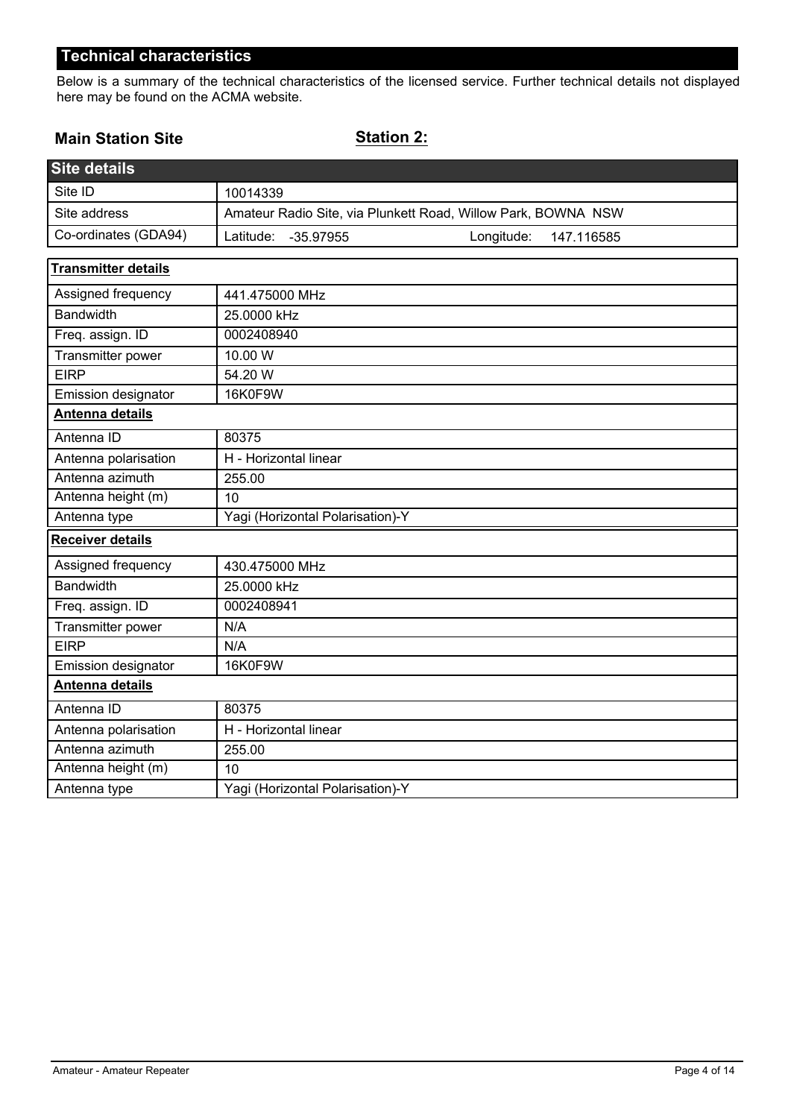Below is a summary of the technical characteristics of the licensed service. Further technical details not displayed here may be found on the ACMA website.

## **Main Station Site**

**Station 2:**

| <b>Site details</b>        |                                                               |  |  |
|----------------------------|---------------------------------------------------------------|--|--|
| Site ID                    | 10014339                                                      |  |  |
| Site address               | Amateur Radio Site, via Plunkett Road, Willow Park, BOWNA NSW |  |  |
| Co-ordinates (GDA94)       | Latitude:<br>Longitude:<br>$-35.97955$<br>147.116585          |  |  |
| <b>Transmitter details</b> |                                                               |  |  |
| Assigned frequency         | 441.475000 MHz                                                |  |  |
| <b>Bandwidth</b>           | 25.0000 kHz                                                   |  |  |
| Freq. assign. ID           | 0002408940                                                    |  |  |
| Transmitter power          | 10.00 W                                                       |  |  |
| <b>EIRP</b>                | 54.20 W                                                       |  |  |
| Emission designator        | 16K0F9W                                                       |  |  |
| <b>Antenna details</b>     |                                                               |  |  |
| Antenna ID                 | 80375                                                         |  |  |
| Antenna polarisation       | H - Horizontal linear                                         |  |  |
| Antenna azimuth            | 255.00                                                        |  |  |
| Antenna height (m)         | 10                                                            |  |  |
| Antenna type               | Yagi (Horizontal Polarisation)-Y                              |  |  |
| <b>Receiver details</b>    |                                                               |  |  |
| Assigned frequency         | 430.475000 MHz                                                |  |  |
| <b>Bandwidth</b>           | 25.0000 kHz                                                   |  |  |
| Freq. assign. ID           | 0002408941                                                    |  |  |
| Transmitter power          | N/A                                                           |  |  |
| <b>EIRP</b>                | N/A                                                           |  |  |
| Emission designator        | 16K0F9W                                                       |  |  |
| Antenna details            |                                                               |  |  |
| Antenna ID                 | 80375                                                         |  |  |
| Antenna polarisation       | H - Horizontal linear                                         |  |  |
| Antenna azimuth            | 255.00                                                        |  |  |
| Antenna height (m)         | 10                                                            |  |  |
| Antenna type               | Yagi (Horizontal Polarisation)-Y                              |  |  |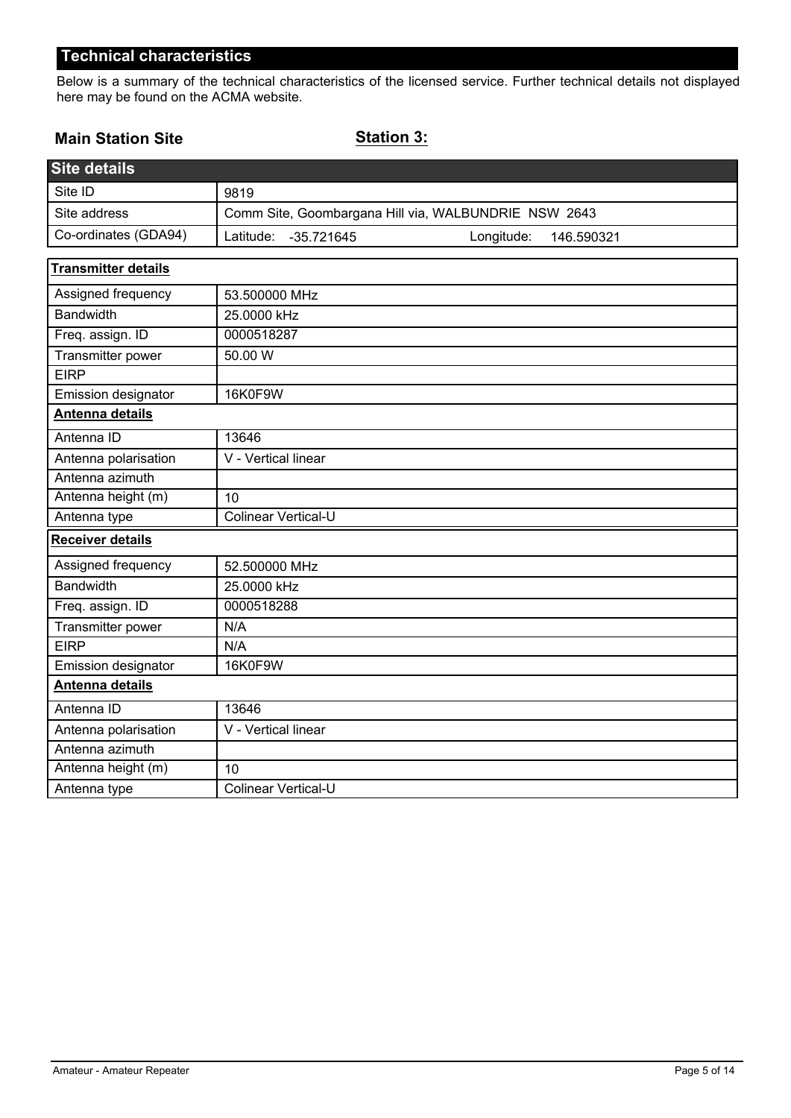Below is a summary of the technical characteristics of the licensed service. Further technical details not displayed here may be found on the ACMA website.

## **Main Station Site**

**Station 3:**

| <b>Site details</b>        |                                                       |  |  |
|----------------------------|-------------------------------------------------------|--|--|
| Site ID                    | 9819                                                  |  |  |
| Site address               | Comm Site, Goombargana Hill via, WALBUNDRIE NSW 2643  |  |  |
| Co-ordinates (GDA94)       | Latitude:<br>Longitude:<br>$-35.721645$<br>146.590321 |  |  |
| <b>Transmitter details</b> |                                                       |  |  |
| Assigned frequency         | 53.500000 MHz                                         |  |  |
| <b>Bandwidth</b>           | 25.0000 kHz                                           |  |  |
| Freq. assign. ID           | 0000518287                                            |  |  |
| Transmitter power          | 50.00 W                                               |  |  |
| <b>EIRP</b>                |                                                       |  |  |
| Emission designator        | 16K0F9W                                               |  |  |
| <b>Antenna details</b>     |                                                       |  |  |
| Antenna ID                 | 13646                                                 |  |  |
| Antenna polarisation       | V - Vertical linear                                   |  |  |
| Antenna azimuth            |                                                       |  |  |
| Antenna height (m)         | 10                                                    |  |  |
| Antenna type               | Colinear Vertical-U                                   |  |  |
| <b>Receiver details</b>    |                                                       |  |  |
| Assigned frequency         | 52.500000 MHz                                         |  |  |
| <b>Bandwidth</b>           | 25.0000 kHz                                           |  |  |
| Freq. assign. ID           | 0000518288                                            |  |  |
| Transmitter power          | N/A                                                   |  |  |
| <b>EIRP</b>                | N/A                                                   |  |  |
| Emission designator        | 16K0F9W                                               |  |  |
| Antenna details            |                                                       |  |  |
| Antenna ID                 | 13646                                                 |  |  |
| Antenna polarisation       | V - Vertical linear                                   |  |  |
| Antenna azimuth            |                                                       |  |  |
| Antenna height (m)         | 10                                                    |  |  |
| Antenna type               | Colinear Vertical-U                                   |  |  |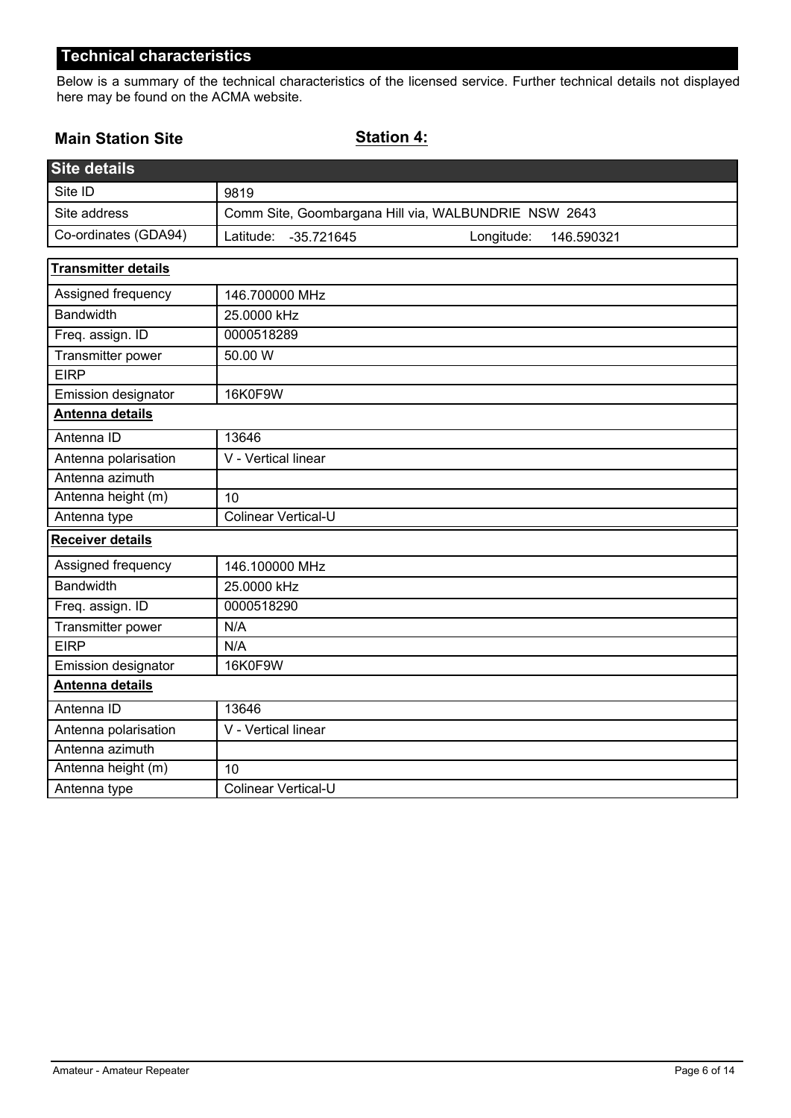Below is a summary of the technical characteristics of the licensed service. Further technical details not displayed here may be found on the ACMA website.

#### **Main Station Site**

**Station 4:**

| <b>Site details</b>        |                                                       |  |  |
|----------------------------|-------------------------------------------------------|--|--|
| Site ID                    | 9819                                                  |  |  |
| Site address               | Comm Site, Goombargana Hill via, WALBUNDRIE NSW 2643  |  |  |
| Co-ordinates (GDA94)       | Latitude:<br>Longitude:<br>$-35.721645$<br>146.590321 |  |  |
| <b>Transmitter details</b> |                                                       |  |  |
| Assigned frequency         | 146.700000 MHz                                        |  |  |
| <b>Bandwidth</b>           | 25.0000 kHz                                           |  |  |
| Freq. assign. ID           | 0000518289                                            |  |  |
| Transmitter power          | 50.00 W                                               |  |  |
| <b>EIRP</b>                |                                                       |  |  |
| Emission designator        | 16K0F9W                                               |  |  |
| <b>Antenna details</b>     |                                                       |  |  |
| Antenna ID                 | 13646                                                 |  |  |
| Antenna polarisation       | V - Vertical linear                                   |  |  |
| Antenna azimuth            |                                                       |  |  |
| Antenna height (m)         | 10                                                    |  |  |
| Antenna type               | Colinear Vertical-U                                   |  |  |
| <b>Receiver details</b>    |                                                       |  |  |
| Assigned frequency         | 146.100000 MHz                                        |  |  |
| <b>Bandwidth</b>           | 25.0000 kHz                                           |  |  |
| Freq. assign. ID           | 0000518290                                            |  |  |
| Transmitter power          | N/A                                                   |  |  |
| <b>EIRP</b>                | N/A                                                   |  |  |
| Emission designator        | 16K0F9W                                               |  |  |
| Antenna details            |                                                       |  |  |
| Antenna ID                 | 13646                                                 |  |  |
| Antenna polarisation       | V - Vertical linear                                   |  |  |
| Antenna azimuth            |                                                       |  |  |
| Antenna height (m)         | 10                                                    |  |  |
| Antenna type               | Colinear Vertical-U                                   |  |  |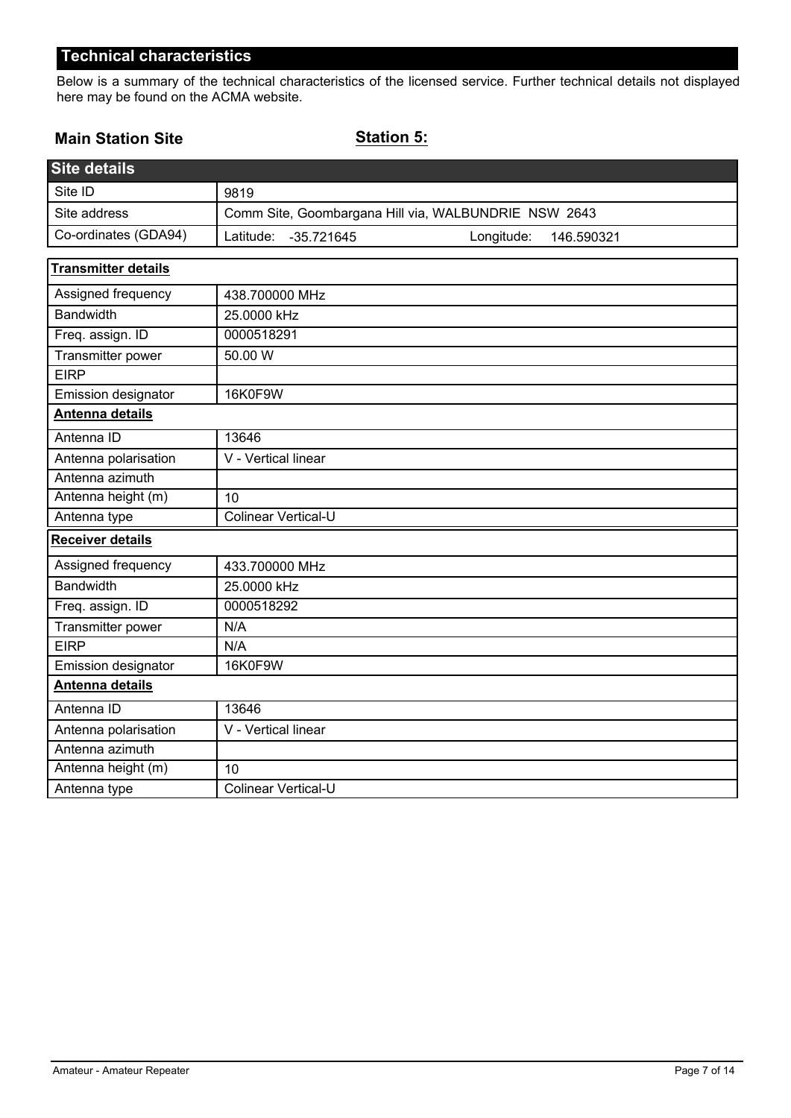Below is a summary of the technical characteristics of the licensed service. Further technical details not displayed here may be found on the ACMA website.

## **Main Station Site**

**Station 5:**

| <b>Site details</b>        |                                                       |  |  |
|----------------------------|-------------------------------------------------------|--|--|
| Site ID                    | 9819                                                  |  |  |
| Site address               | Comm Site, Goombargana Hill via, WALBUNDRIE NSW 2643  |  |  |
| Co-ordinates (GDA94)       | Latitude:<br>Longitude:<br>$-35.721645$<br>146.590321 |  |  |
| <b>Transmitter details</b> |                                                       |  |  |
| Assigned frequency         | 438.700000 MHz                                        |  |  |
| <b>Bandwidth</b>           | 25.0000 kHz                                           |  |  |
| Freq. assign. ID           | 0000518291                                            |  |  |
| Transmitter power          | 50.00 W                                               |  |  |
| <b>EIRP</b>                |                                                       |  |  |
| Emission designator        | 16K0F9W                                               |  |  |
| Antenna details            |                                                       |  |  |
| Antenna ID                 | 13646                                                 |  |  |
| Antenna polarisation       | V - Vertical linear                                   |  |  |
| Antenna azimuth            |                                                       |  |  |
| Antenna height (m)         | 10                                                    |  |  |
| Antenna type               | <b>Colinear Vertical-U</b>                            |  |  |
| <b>Receiver details</b>    |                                                       |  |  |
| Assigned frequency         | 433.700000 MHz                                        |  |  |
| <b>Bandwidth</b>           | 25.0000 kHz                                           |  |  |
| Freq. assign. ID           | 0000518292                                            |  |  |
| Transmitter power          | N/A                                                   |  |  |
| <b>EIRP</b>                | N/A                                                   |  |  |
| Emission designator        | 16K0F9W                                               |  |  |
| Antenna details            |                                                       |  |  |
| Antenna ID                 | 13646                                                 |  |  |
| Antenna polarisation       | V - Vertical linear                                   |  |  |
| Antenna azimuth            |                                                       |  |  |
| Antenna height (m)         | 10                                                    |  |  |
| Antenna type               | <b>Colinear Vertical-U</b>                            |  |  |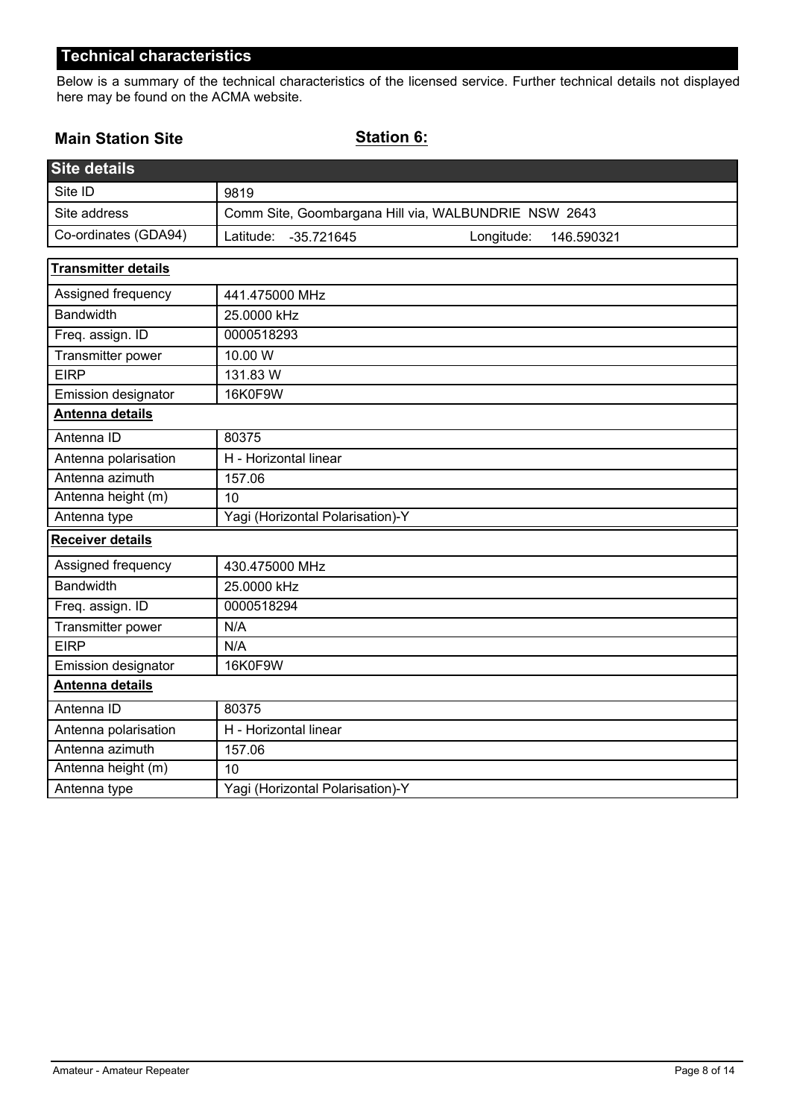Below is a summary of the technical characteristics of the licensed service. Further technical details not displayed here may be found on the ACMA website.

## **Main Station Site**

**Station 6:**

| <b>Site details</b>        |                                                       |  |  |
|----------------------------|-------------------------------------------------------|--|--|
| Site ID                    | 9819                                                  |  |  |
| Site address               | Comm Site, Goombargana Hill via, WALBUNDRIE NSW 2643  |  |  |
| Co-ordinates (GDA94)       | Latitude:<br>Longitude:<br>$-35.721645$<br>146.590321 |  |  |
| <b>Transmitter details</b> |                                                       |  |  |
| Assigned frequency         | 441.475000 MHz                                        |  |  |
| <b>Bandwidth</b>           | 25.0000 kHz                                           |  |  |
| Freq. assign. ID           | 0000518293                                            |  |  |
| Transmitter power          | 10.00 W                                               |  |  |
| <b>EIRP</b>                | 131.83 W                                              |  |  |
| Emission designator        | 16K0F9W                                               |  |  |
| <b>Antenna details</b>     |                                                       |  |  |
| Antenna ID                 | 80375                                                 |  |  |
| Antenna polarisation       | H - Horizontal linear                                 |  |  |
| Antenna azimuth            | 157.06                                                |  |  |
| Antenna height (m)         | 10                                                    |  |  |
| Antenna type               | Yagi (Horizontal Polarisation)-Y                      |  |  |
| Receiver details           |                                                       |  |  |
| Assigned frequency         | 430.475000 MHz                                        |  |  |
| <b>Bandwidth</b>           | 25.0000 kHz                                           |  |  |
| Freq. assign. ID           | 0000518294                                            |  |  |
| Transmitter power          | N/A                                                   |  |  |
| <b>EIRP</b>                | N/A                                                   |  |  |
| Emission designator        | 16K0F9W                                               |  |  |
| Antenna details            |                                                       |  |  |
| Antenna ID                 | 80375                                                 |  |  |
| Antenna polarisation       | H - Horizontal linear                                 |  |  |
| Antenna azimuth            | 157.06                                                |  |  |
| Antenna height (m)         | 10                                                    |  |  |
| Antenna type               | Yagi (Horizontal Polarisation)-Y                      |  |  |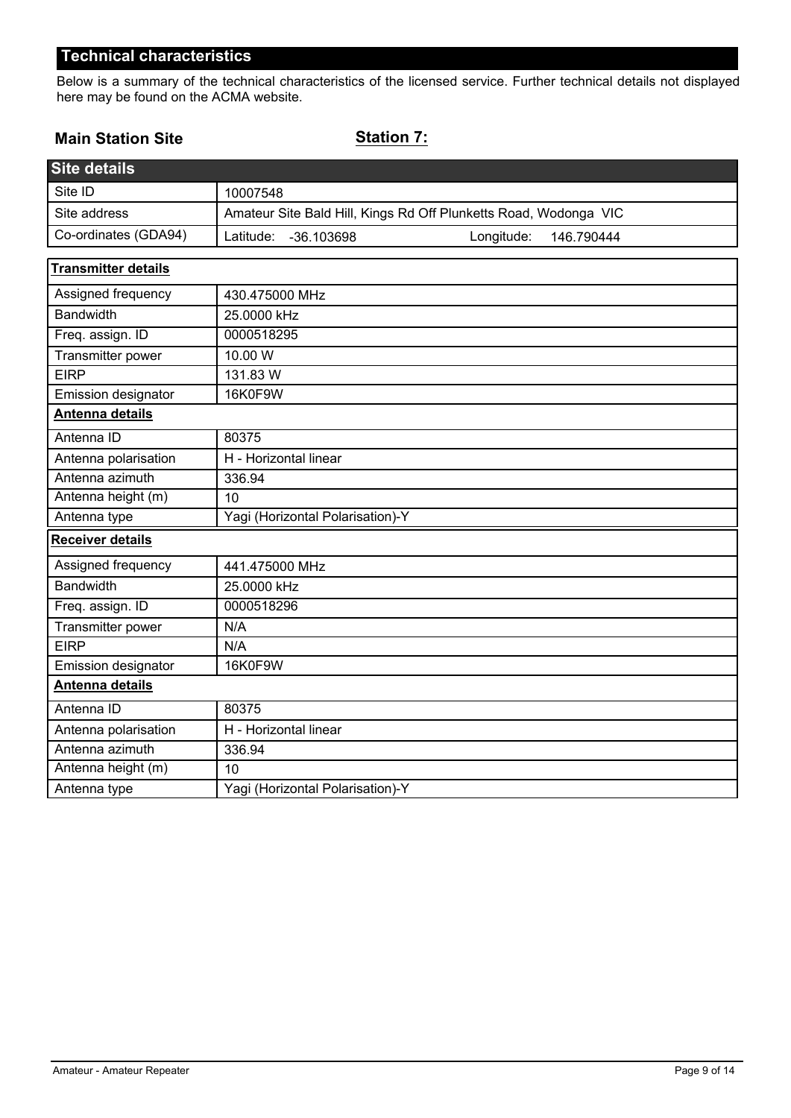Below is a summary of the technical characteristics of the licensed service. Further technical details not displayed here may be found on the ACMA website.

## **Main Station Site**

# **Station 7:**

| <b>Site details</b>        |                                                                  |
|----------------------------|------------------------------------------------------------------|
| Site ID                    | 10007548                                                         |
| Site address               | Amateur Site Bald Hill, Kings Rd Off Plunketts Road, Wodonga VIC |
| Co-ordinates (GDA94)       | Latitude:<br>Longitude:<br>-36.103698<br>146.790444              |
| <b>Transmitter details</b> |                                                                  |
| Assigned frequency         | 430.475000 MHz                                                   |
| <b>Bandwidth</b>           | 25.0000 kHz                                                      |
| Freq. assign. ID           | 0000518295                                                       |
| Transmitter power          | 10.00 W                                                          |
| <b>EIRP</b>                | 131.83 W                                                         |
| Emission designator        | 16K0F9W                                                          |
| Antenna details            |                                                                  |
| Antenna ID                 | 80375                                                            |
| Antenna polarisation       | H - Horizontal linear                                            |
| Antenna azimuth            | 336.94                                                           |
| Antenna height (m)         | 10                                                               |
| Antenna type               | Yagi (Horizontal Polarisation)-Y                                 |
| <b>Receiver details</b>    |                                                                  |
| Assigned frequency         | 441.475000 MHz                                                   |
| <b>Bandwidth</b>           | 25.0000 kHz                                                      |
| Freq. assign. ID           | 0000518296                                                       |
| Transmitter power          | N/A                                                              |
| <b>EIRP</b>                | N/A                                                              |
| Emission designator        | 16K0F9W                                                          |
| Antenna details            |                                                                  |
| Antenna ID                 | 80375                                                            |
| Antenna polarisation       | H - Horizontal linear                                            |
| Antenna azimuth            | 336.94                                                           |
| Antenna height (m)         | 10                                                               |
| Antenna type               | Yagi (Horizontal Polarisation)-Y                                 |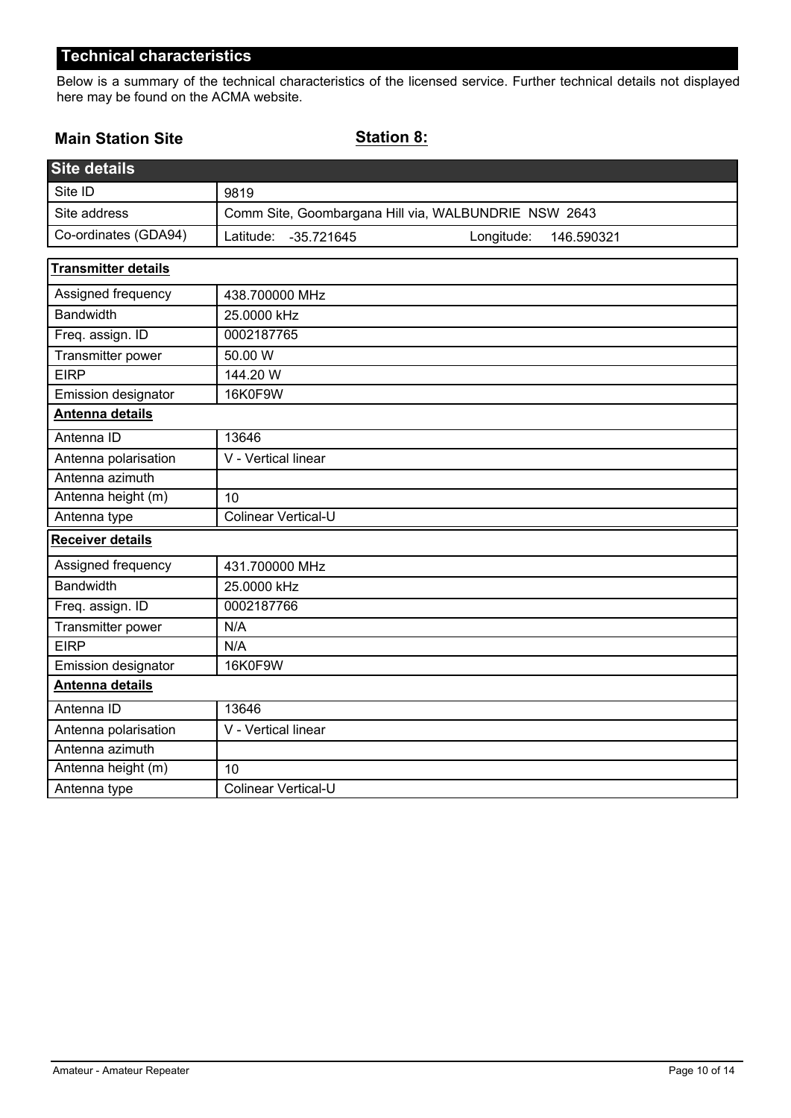Below is a summary of the technical characteristics of the licensed service. Further technical details not displayed here may be found on the ACMA website.

## **Main Station Site**

**Station 8:**

| <b>Site details</b>        |                                                       |  |
|----------------------------|-------------------------------------------------------|--|
| Site ID                    | 9819                                                  |  |
| Site address               | Comm Site, Goombargana Hill via, WALBUNDRIE NSW 2643  |  |
| Co-ordinates (GDA94)       | Latitude:<br>Longitude:<br>$-35.721645$<br>146.590321 |  |
| <b>Transmitter details</b> |                                                       |  |
| Assigned frequency         | 438.700000 MHz                                        |  |
| <b>Bandwidth</b>           | 25.0000 kHz                                           |  |
| Freq. assign. ID           | 0002187765                                            |  |
| Transmitter power          | 50.00 W                                               |  |
| <b>EIRP</b>                | 144.20 W                                              |  |
| Emission designator        | 16K0F9W                                               |  |
| Antenna details            |                                                       |  |
| Antenna ID                 | 13646                                                 |  |
| Antenna polarisation       | V - Vertical linear                                   |  |
| Antenna azimuth            |                                                       |  |
| Antenna height (m)         | 10                                                    |  |
| Antenna type               | Colinear Vertical-U                                   |  |
| <b>Receiver details</b>    |                                                       |  |
| Assigned frequency         | 431.700000 MHz                                        |  |
| <b>Bandwidth</b>           | 25.0000 kHz                                           |  |
| Freq. assign. ID           | 0002187766                                            |  |
| Transmitter power          | N/A                                                   |  |
| <b>EIRP</b>                | N/A                                                   |  |
| Emission designator        | 16K0F9W                                               |  |
| Antenna details            |                                                       |  |
| Antenna ID                 | 13646                                                 |  |
| Antenna polarisation       | V - Vertical linear                                   |  |
| Antenna azimuth            |                                                       |  |
| Antenna height (m)         | 10                                                    |  |
| Antenna type               | Colinear Vertical-U                                   |  |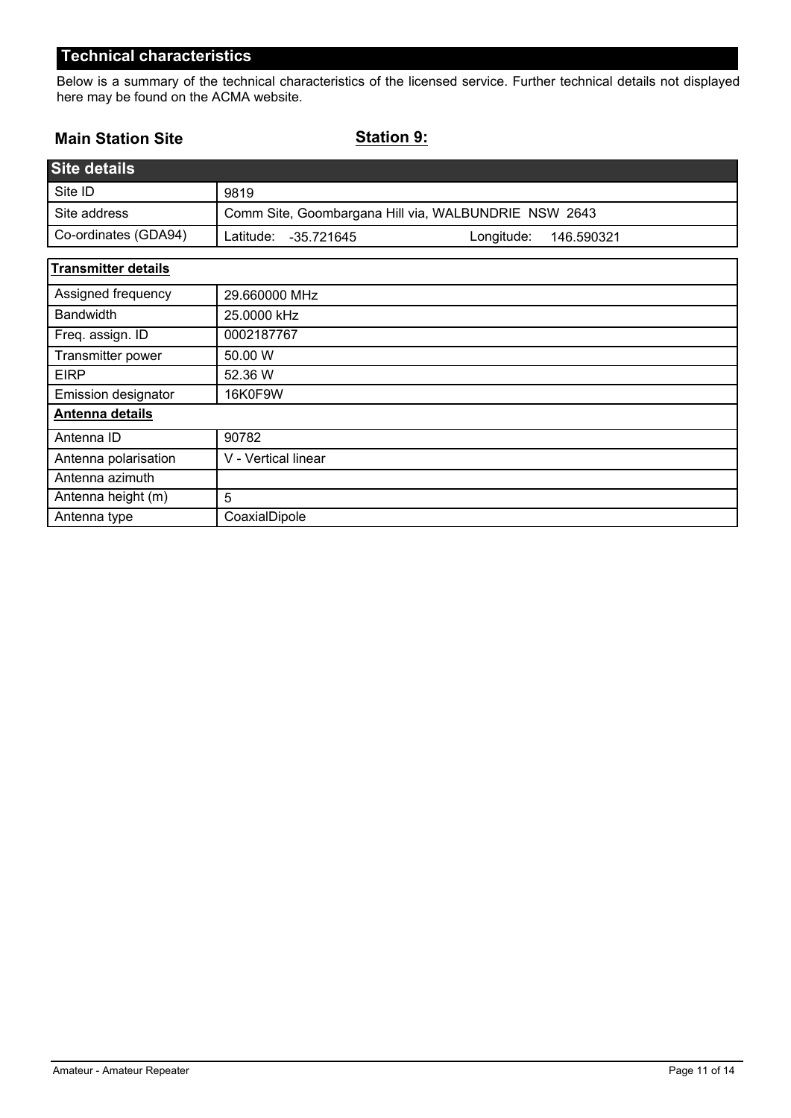Below is a summary of the technical characteristics of the licensed service. Further technical details not displayed here may be found on the ACMA website.

## **Main Station Site**

**Station 9:**

| <b>Site details</b>        |                                                      |  |
|----------------------------|------------------------------------------------------|--|
| Site ID                    | 9819                                                 |  |
| Site address               | Comm Site, Goombargana Hill via, WALBUNDRIE NSW 2643 |  |
| Co-ordinates (GDA94)       | Latitude:<br>Longitude:<br>-35.721645<br>146.590321  |  |
| <b>Transmitter details</b> |                                                      |  |
| Assigned frequency         | 29.660000 MHz                                        |  |
| <b>Bandwidth</b>           | 25.0000 kHz                                          |  |
| Freq. assign. ID           | 0002187767                                           |  |
| Transmitter power          | 50.00 W                                              |  |
| <b>EIRP</b>                | 52.36 W                                              |  |
| Emission designator        | 16K0F9W                                              |  |
| Antenna details            |                                                      |  |
| Antenna ID                 | 90782                                                |  |
| Antenna polarisation       | V - Vertical linear                                  |  |
| Antenna azimuth            |                                                      |  |
| Antenna height (m)         | 5                                                    |  |
| Antenna type               | CoaxialDipole                                        |  |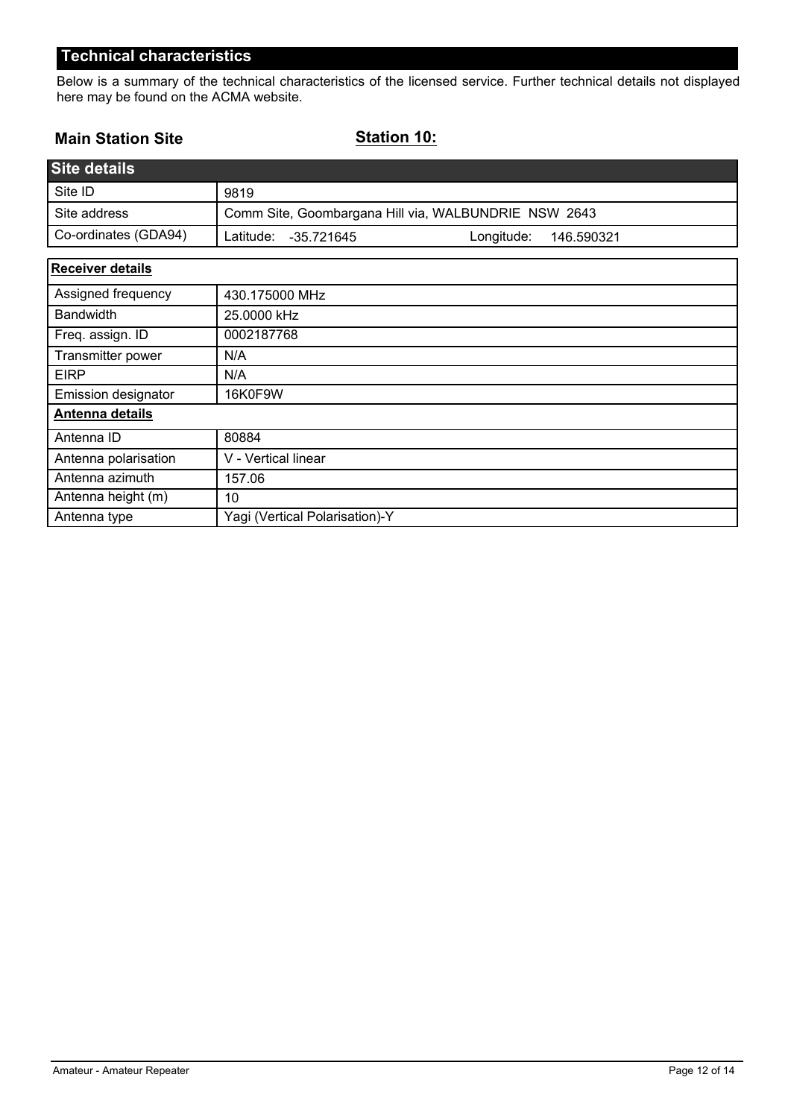Below is a summary of the technical characteristics of the licensed service. Further technical details not displayed here may be found on the ACMA website.

## **Main Station Site**

**Station 10:**

| <b>Site details</b>     |                                                       |
|-------------------------|-------------------------------------------------------|
| Site ID                 | 9819                                                  |
| Site address            | Comm Site, Goombargana Hill via, WALBUNDRIE NSW 2643  |
| Co-ordinates (GDA94)    | Latitude:<br>$-35.721645$<br>Longitude:<br>146.590321 |
| <b>Receiver details</b> |                                                       |
| Assigned frequency      | 430.175000 MHz                                        |
| <b>Bandwidth</b>        | 25.0000 kHz                                           |
| Freq. assign. ID        | 0002187768                                            |
| Transmitter power       | N/A                                                   |
| <b>EIRP</b>             | N/A                                                   |
| Emission designator     | 16K0F9W                                               |
| Antenna details         |                                                       |
| Antenna ID              | 80884                                                 |
| Antenna polarisation    | V - Vertical linear                                   |
| Antenna azimuth         | 157.06                                                |
| Antenna height (m)      | 10                                                    |
| Antenna type            | Yagi (Vertical Polarisation)-Y                        |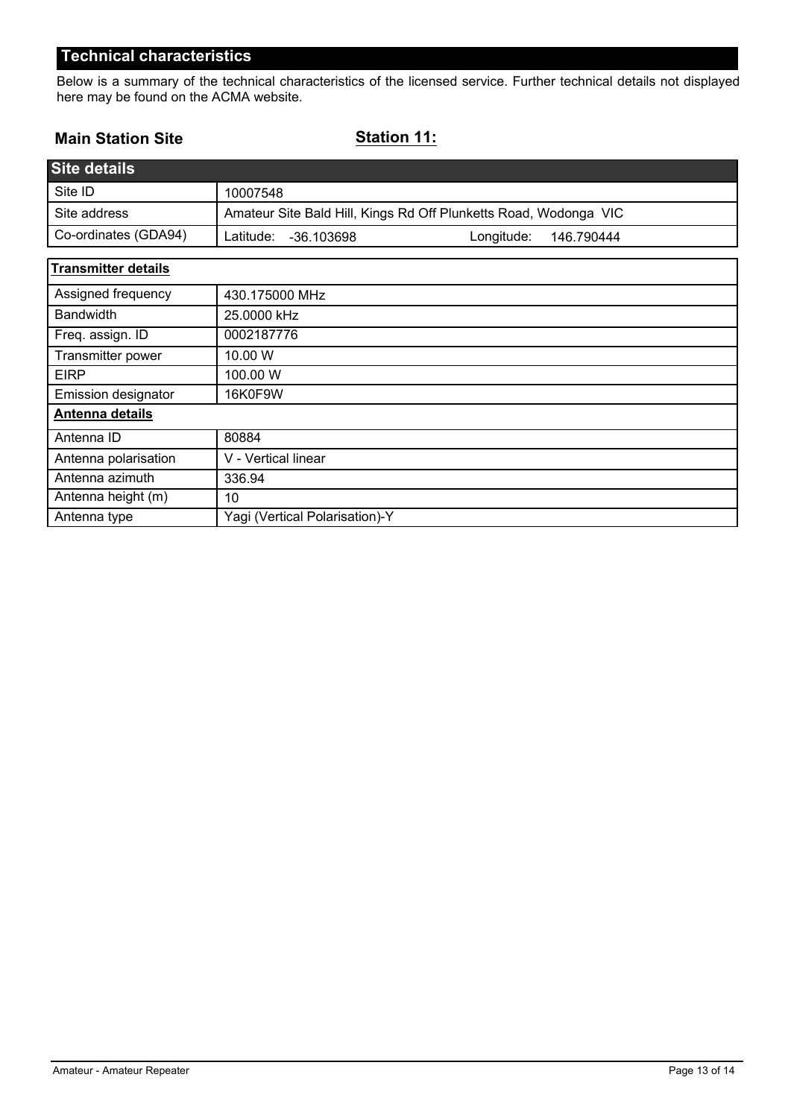Below is a summary of the technical characteristics of the licensed service. Further technical details not displayed here may be found on the ACMA website.

## **Main Station Site**

**Station 11:**

| <b>Site details</b>        |                                                                  |  |
|----------------------------|------------------------------------------------------------------|--|
| Site ID                    | 10007548                                                         |  |
| Site address               | Amateur Site Bald Hill, Kings Rd Off Plunketts Road, Wodonga VIC |  |
| Co-ordinates (GDA94)       | Latitude:<br>Longitude:<br>-36.103698<br>146.790444              |  |
| <b>Transmitter details</b> |                                                                  |  |
| Assigned frequency         | 430.175000 MHz                                                   |  |
| <b>Bandwidth</b>           | 25.0000 kHz                                                      |  |
| Freq. assign. ID           | 0002187776                                                       |  |
| Transmitter power          | 10.00 W                                                          |  |
| <b>EIRP</b>                | 100.00 W                                                         |  |
| Emission designator        | 16K0F9W                                                          |  |
| Antenna details            |                                                                  |  |
| Antenna ID                 | 80884                                                            |  |
| Antenna polarisation       | V - Vertical linear                                              |  |
| Antenna azimuth            | 336.94                                                           |  |
| Antenna height (m)         | 10                                                               |  |
| Antenna type               | Yagi (Vertical Polarisation)-Y                                   |  |